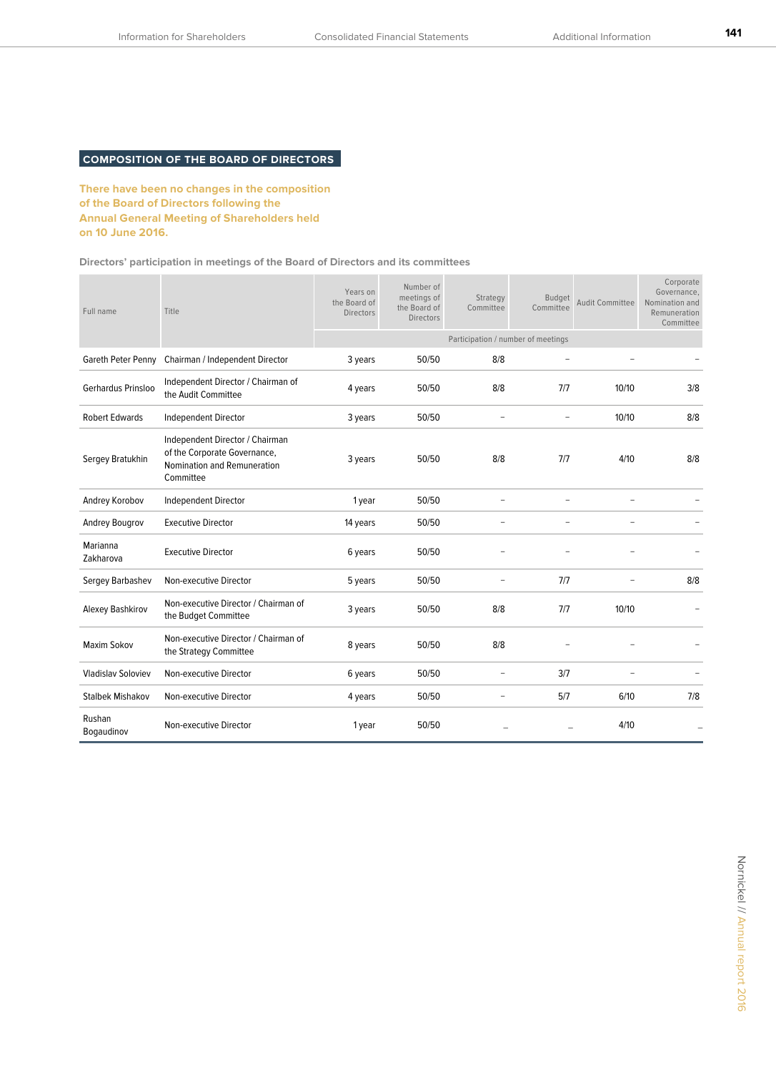# **COMPOSITION OF THE BOARD OF DIRECTORS**

**There have been no changes in the composition of the Board of Directors following the Annual General Meeting of Shareholders held on 10 June 2016.**

**Directors' participation in meetings of the Board of Directors and its committees**

| Full name                 | Title                                                                                                       | Years on<br>the Board of<br><b>Directors</b> | Number of<br>meetings of<br>the Board of<br><b>Directors</b> | Strategy<br>Committee    | <b>Budget</b><br>Committee | <b>Audit Committee</b> | Corporate<br>Governance,<br>Nomination and<br>Remuneration<br>Committee |
|---------------------------|-------------------------------------------------------------------------------------------------------------|----------------------------------------------|--------------------------------------------------------------|--------------------------|----------------------------|------------------------|-------------------------------------------------------------------------|
|                           |                                                                                                             | Participation / number of meetings           |                                                              |                          |                            |                        |                                                                         |
| Gareth Peter Penny        | Chairman / Independent Director                                                                             | 3 years                                      | 50/50                                                        | 8/8                      |                            |                        |                                                                         |
| Gerhardus Prinsloo        | Independent Director / Chairman of<br>the Audit Committee                                                   | 4 years                                      | 50/50                                                        | 8/8                      | 7/7                        | 10/10                  | 3/8                                                                     |
| <b>Robert Edwards</b>     | Independent Director                                                                                        | 3 years                                      | 50/50                                                        |                          | $\overline{\phantom{a}}$   | 10/10                  | 8/8                                                                     |
| Sergey Bratukhin          | Independent Director / Chairman<br>of the Corporate Governance,<br>Nomination and Remuneration<br>Committee | 3 years                                      | 50/50                                                        | 8/8                      | 7/7                        | 4/10                   | 8/8                                                                     |
| Andrey Korobov            | Independent Director                                                                                        | 1 year                                       | 50/50                                                        |                          |                            |                        |                                                                         |
| Andrey Bougrov            | <b>Executive Director</b>                                                                                   | 14 years                                     | 50/50                                                        |                          |                            |                        |                                                                         |
| Marianna<br>Zakharova     | <b>Executive Director</b>                                                                                   | 6 years                                      | 50/50                                                        |                          |                            |                        |                                                                         |
| Sergey Barbashev          | Non-executive Director                                                                                      | 5 years                                      | 50/50                                                        |                          | 7/7                        |                        | 8/8                                                                     |
| Alexey Bashkirov          | Non-executive Director / Chairman of<br>the Budget Committee                                                | 3 years                                      | 50/50                                                        | 8/8                      | 7/7                        | 10/10                  |                                                                         |
| <b>Maxim Sokov</b>        | Non-executive Director / Chairman of<br>the Strategy Committee                                              | 8 years                                      | 50/50                                                        | 8/8                      |                            |                        |                                                                         |
| <b>Vladislav Soloviev</b> | Non-executive Director                                                                                      | 6 years                                      | 50/50                                                        | $\overline{\phantom{a}}$ | 3/7                        |                        |                                                                         |
| <b>Stalbek Mishakov</b>   | Non-executive Director                                                                                      | 4 years                                      | 50/50                                                        | $\overline{\phantom{a}}$ | 5/7                        | 6/10                   | 7/8                                                                     |
| Rushan<br>Bogaudinov      | Non-executive Director                                                                                      | 1 year                                       | 50/50                                                        |                          |                            | 4/10                   |                                                                         |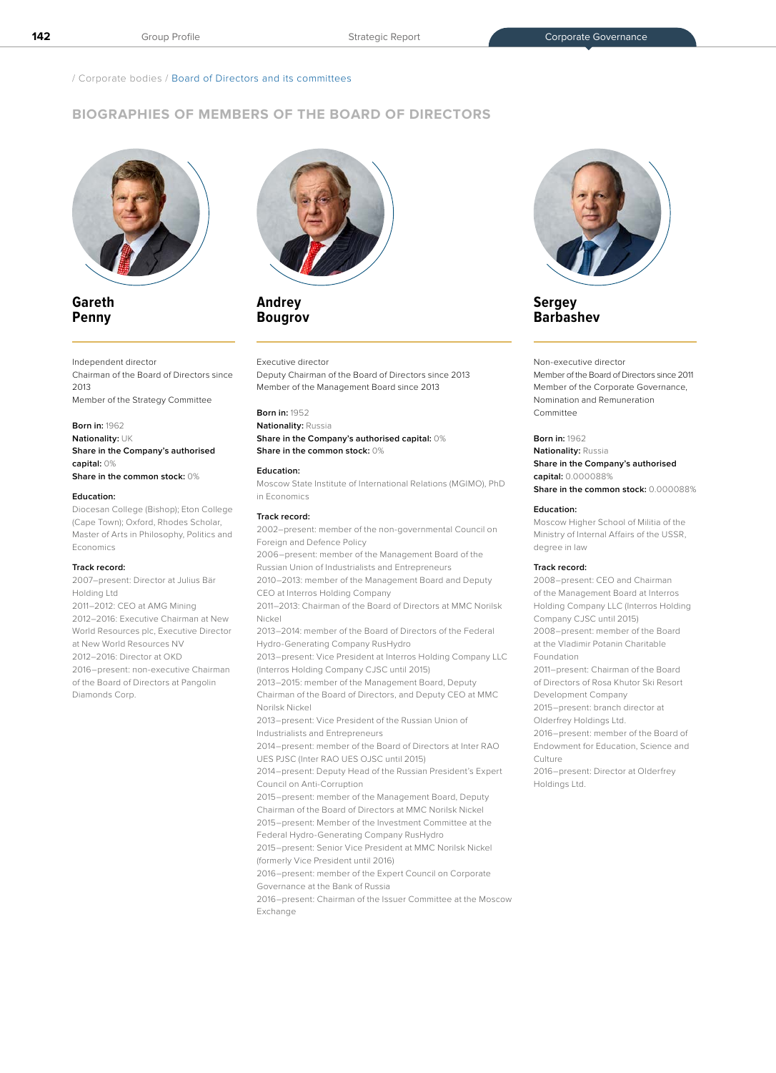/ Corporate bodies / Board of Directors and its committees

# **BIOGRAPHIES OF MEMBERS OF THE BOARD OF DIRECTORS**



# **Gareth Penny**

## Independent director

Chairman of the Board of Directors since 2013 Member of the Strategy Committee

## **Born in:** 1962

**Nationality:** UK **Share in the Company's authorised capital:** 0% **Share in the common stock:** 0%

## **Education:**

Diocesan College (Bishop); Eton College (Cape Town); Oxford, Rhodes Scholar, Master of Arts in Philosophy, Politics and Economics

### **Track record:**

2007–present: Director at Julius Bär Holding Ltd 2011–2012: CEO at AMG Mining 2012–2016: Executive Chairman at New World Resources plc, Executive Director at New World Resources NV 2012–2016: Director at OKD 2016–present: non-executive Chairman of the Board of Directors at Pangolin Diamonds Corp.



# **Andrey Bougrov**

#### Executive director

Deputy Chairman of the Board of Directors since 2013 Member of the Management Board since 2013

## **Born in:** 1952

## **Nationality:** Russia **Share in the Company's authorised capital:** 0% **Share in the common stock:** 0%

#### **Education:**

Moscow State Institute of International Relations (MGIMO), PhD in Economics

#### **Track record:**

2002–present: member of the non-governmental Council on Foreign and Defence Policy

2006–present: member of the Management Board of the Russian Union of Industrialists and Entrepreneurs

2010–2013: member of the Management Board and Deputy CEO at Interros Holding Company

2011–2013: Chairman of the Board of Directors at MMC Norilsk Nickel

2013–2014: member of the Board of Directors of the Federal Hydro-Generating Company RusHydro

2013–present: Vice President at Interros Holding Company LLC (Interros Holding Company CJSC until 2015)

2013–2015: member of the Management Board, Deputy Chairman of the Board of Directors, and Deputy CEO at MMC Norilsk Nickel

2013–present: Vice President of the Russian Union of Industrialists and Entrepreneurs

2014–present: member of the Board of Directors at Inter RAO UES PJSC (Inter RAO UES OJSC until 2015)

2014–present: Deputy Head of the Russian President's Expert Council on Anti-Corruption

2015–present: member of the Management Board, Deputy Chairman of the Board of Directors at MMC Norilsk Nickel 2015–present: Member of the Investment Committee at the Federal Hydro-Generating Company RusHydro

2015–present: Senior Vice President at MMC Norilsk Nickel (formerly Vice President until 2016)

2016–present: member of the Expert Council on Corporate Governance at the Bank of Russia

2016–present: Chairman of the Issuer Committee at the Moscow Exchange



# **Sergey Barbashev**

## Non-executive director

Member of the Board of Directors since 2011 Member of the Corporate Governance, Nomination and Remuneration Committee

### **Born in:** 1962

**Nationality:** Russia

**Share in the Company's authorised capital:** 0.000088%

# **Share in the common stock:** 0.000088% **Education:**

Moscow Higher School of Militia of the Ministry of Internal Affairs of the USSR, degree in law

### **Track record:**

2008–present: CEO and Chairman of the Management Board at Interros Holding Company LLC (Interros Holding Company CJSC until 2015) 2008–present: member of the Board at the Vladimir Potanin Charitable Foundation 2011–present: Chairman of the Board

of Directors of Rosa Khutor Ski Resort Development Company

2015–present: branch director at

Olderfrey Holdings Ltd.

2016–present: member of the Board of Endowment for Education, Science and Culture

2016–present: Director at Olderfrey Holdings Ltd.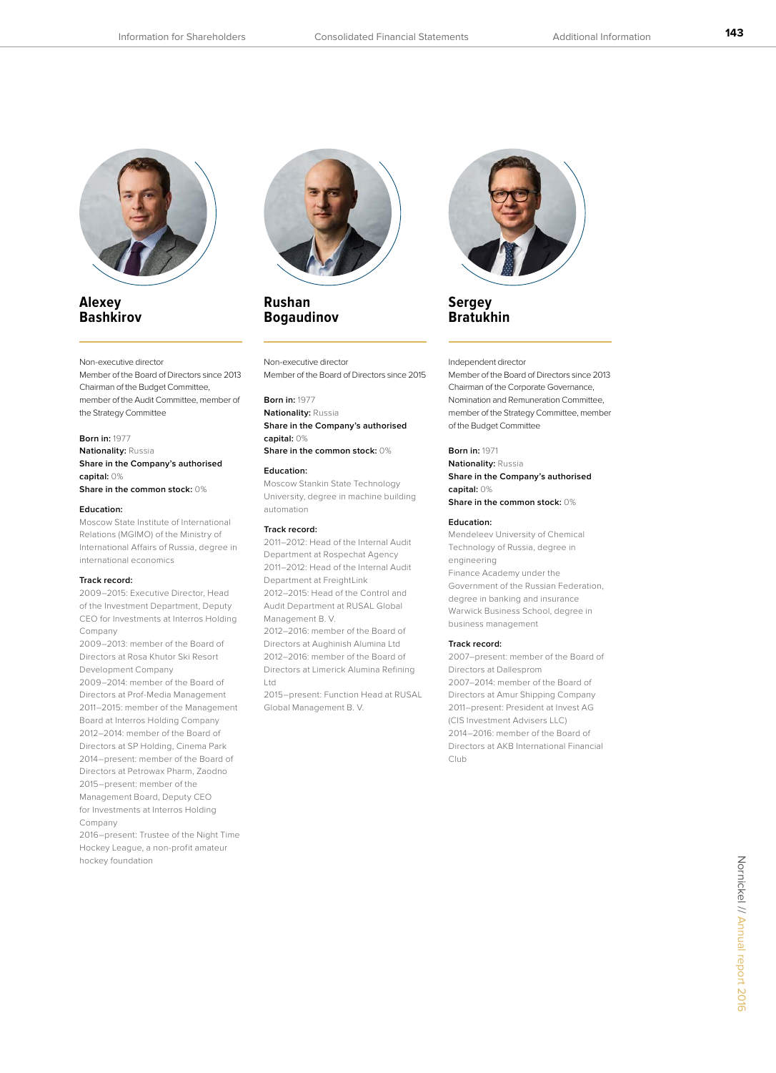

# **Alexey Bashkirov**

### Non-executive director

Member of the Board of Directors since 2013 Chairman of the Budget Committee, member of the Audit Committee, member of the Strategy Committee

#### **Born in:** 1977

**Nationality:** Russia **Share in the Company's authorised capital:** 0% **Share in the common stock:** 0%

#### **Education:**

Moscow State Institute of International Relations (MGIMO) of the Ministry of International Affairs of Russia, degree in international economics

## **Track record:**

2009–2015: Executive Director, Head of the Investment Department, Deputy CEO for Investments at Interros Holding Company

2009–2013: member of the Board of Directors at Rosa Khutor Ski Resort Development Company

2009–2014: member of the Board of Directors at Prof-Media Management 2011–2015: member of the Management Board at Interros Holding Company 2012–2014: member of the Board of Directors at SP Holding, Cinema Park 2014–present: member of the Board of Directors at Petrowax Pharm, Zaodno 2015–present: member of the Management Board, Deputy CEO for Investments at Interros Holding Company

2016–present: Trustee of the Night Time Hockey League, a non-profit amateur hockey foundation



# **Rushan Bogaudinov**

Non-executive director Member of the Board of Directors since 2015

## **Born in:** 1977

**Nationality:** Russia **Share in the Company's authorised capital:** 0% **Share in the common stock:** 0%

#### **Education:**

Moscow Stankin State Technology University, degree in machine building automation

### **Track record:**

2011–2012: Head of the Internal Audit Department at Rospechat Agency 2011–2012: Head of the Internal Audit Department at FreightLink 2012–2015: Head of the Control and Audit Department at RUSAL Global

Management B. V.

2012–2016: member of the Board of Directors at Aughinish Alumina Ltd 2012–2016: member of the Board of Directors at Limerick Alumina Refining Ltd

2015–present: Function Head at RUSAL Global Management B. V.



# **Sergey Bratukhin**

#### Independent director

Member of the Board of Directors since 2013 Chairman of the Corporate Governance, Nomination and Remuneration Committee, member of the Strategy Committee, member of the Budget Committee

## **Born in:** 1971

**Nationality:** Russia **Share in the Company's authorised capital:** 0% **Share in the common stock:** 0%

#### **Education:**

Mendeleev University of Chemical Technology of Russia, degree in engineering Finance Academy under the Government of the Russian Federation, degree in banking and insurance Warwick Business School, degree in business management

#### **Track record:**

2007–present: member of the Board of Directors at Dallesprom 2007–2014: member of the Board of Directors at Amur Shipping Company 2011–present: President at Invest AG (CIS Investment Advisers LLC) 2014–2016: member of the Board of Directors at AKB International Financial Club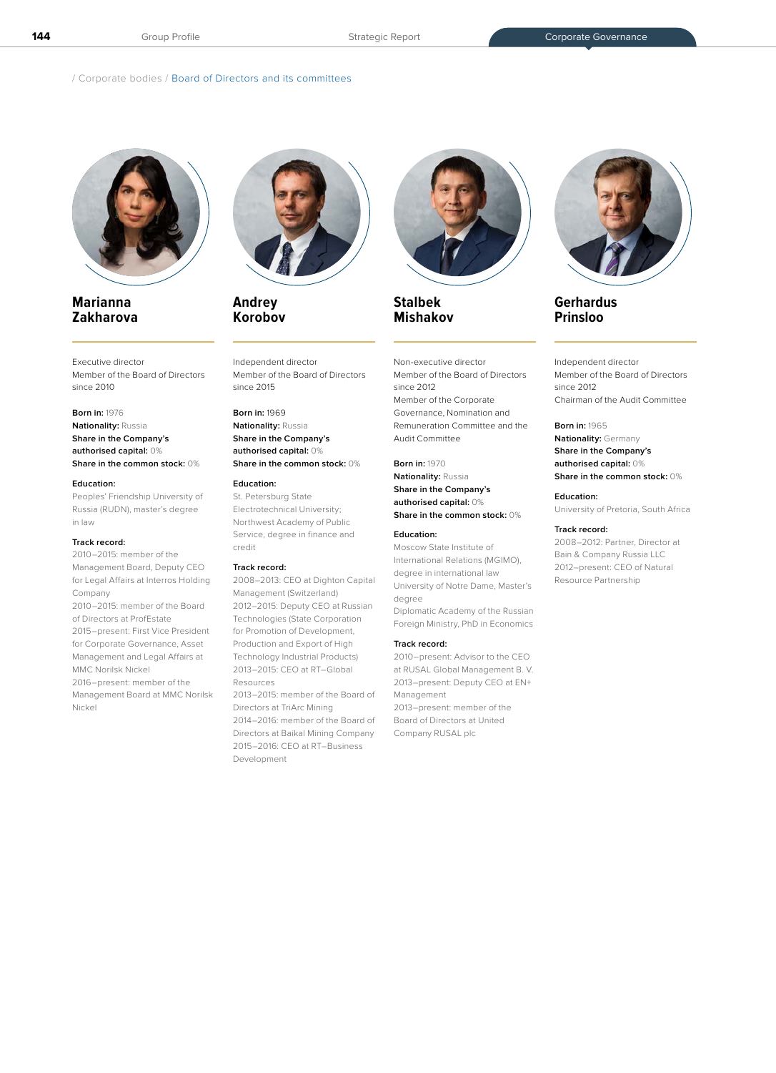/ Corporate bodies / Board of Directors and its committees



# **Marianna Zakharova**

Executive director Member of the Board of Directors since 2010

**Born in:** 1976 **Nationality:** Russia **Share in the Company's authorised capital:** 0% **Share in the common stock:** 0%

#### **Education:**

Peoples' Friendship University of Russia (RUDN), master's degree in law

## **Track record:**

2010–2015: member of the Management Board, Deputy CEO for Legal Affairs at Interros Holding Company 2010–2015: member of the Board of Directors at ProfEstate 2015–present: First Vice President for Corporate Governance, Asset Management and Legal Affairs at MMC Norilsk Nickel

2016–present: member of the Management Board at MMC Norilsk Nickel



**Andrey Korobov** 

Independent director Member of the Board of Directors since 2015

## **Born in:** 1969 **Nationality:** Russia **Share in the Company's authorised capital:** 0%

**Share in the common stock:** 0%

## **Education:**

St. Petersburg State Electrotechnical University; Northwest Academy of Public Service, degree in finance and credit

### **Track record:**

2008–2013: CEO at Dighton Capital Management (Switzerland) 2012–2015: Deputy CEO at Russian Technologies (State Corporation for Promotion of Development, Production and Export of High Technology Industrial Products) 2013–2015: CEO at RT–Global Resources 2013–2015: member of the Board of Directors at TriArc Mining 2014–2016: member of the Board of

Directors at Baikal Mining Company 2015–2016: CEO at RT–Business Development



**Stalbek Mishakov** 

Non-executive director Member of the Board of Directors since 2012 Member of the Corporate Governance, Nomination and Remuneration Committee and the Audit Committee

**Born in:** 1970 **Nationality:** Russia **Share in the Company's authorised capital:** 0% **Share in the common stock:** 0%

## **Education:**

Moscow State Institute of International Relations (MGIMO), degree in international law University of Notre Dame, Master's degree Diplomatic Academy of the Russian Foreign Ministry, PhD in Economics

#### **Track record:**

2010–present: Advisor to the CEO at RUSAL Global Management B. V. 2013–present: Deputy CEO at EN+ Management

2013–present: member of the Board of Directors at United Company RUSAL plc



# **Gerhardus Prinsloo**

Independent director Member of the Board of Directors since 2012 Chairman of the Audit Committee

## **Born in:** 1965

**Nationality:** Germany **Share in the Company's authorised capital:** 0% **Share in the common stock:** 0%

**Education:** University of Pretoria, South Africa

#### **Track record:**

2008–2012: Partner, Director at Bain & Company Russia LLC 2012–present: CEO of Natural Resource Partnership